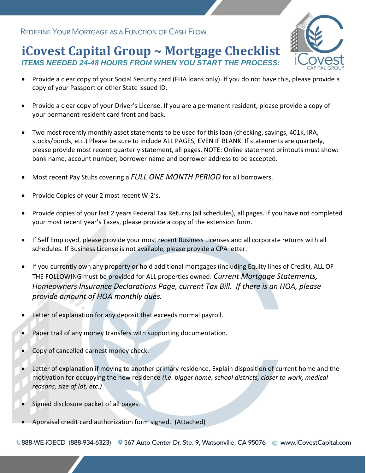# **iCovest Capital Group ~ Mortgage Checklist** *ITEMS NEEDED 24-48 HOURS FROM WHEN YOU START THE PROCESS:*



- Provide a clear copy of your Social Security card (FHA loans only). If you do not have this, please provide a copy of your Passport or other State issued ID.
- Provide a clear copy of your Driver's License. If you are a permanent resident, please provide a copy of your permanent resident card front and back.
- Two most recently monthly asset statements to be used for this loan (checking, savings, 401k, IRA, stocks/bonds, etc.) Please be sure to include ALL PAGES, EVEN IF BLANK. If statements are quarterly, please provide most recent quarterly statement, all pages. NOTE: Online statement printouts must show: bank name, account number, borrower name and borrower address to be accepted.
- Most recent Pay Stubs covering a *FULL ONE MONTH PERIOD* for all borrowers.
- Provide Copies of your 2 most recent W-2's.
- Provide copies of your last 2 years Federal Tax Returns (all schedules), all pages. If you have not completed your most recent year's Taxes, please provide a copy of the extension form.
- If Self Employed, please provide your most recent Business Licenses and all corporate returns with all schedules. If Business License is not available, please provide a CPA letter.
- If you currently own any property or hold additional mortgages (including Equity lines of Credit), ALL OF THE FOLLOWING must be provided for ALL properties owned: *Current Mortgage Statements, Homeowners Insurance Declarations Page, current Tax Bill. If there is an HOA, please provide amount of HOA monthly dues.*
- Letter of explanation for any deposit that exceeds normal payroll.
- Paper trail of any money transfers with supporting documentation.
- Copy of cancelled earnest money check.
- Letter of explanation if moving to another primary residence. Explain disposition of current home and the motivation for occupying the new residence *(i.e. bigger home, school districts, closer to work, medical reasons, size of lot, etc.)*
- Signed disclosure packet of all pages.
- Appraisal credit card authorization form signed. (Attached)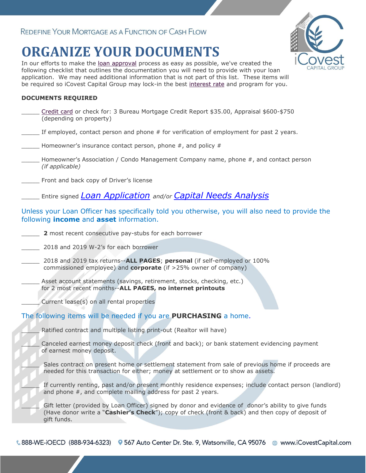# **ORGANIZE YOUR DOCUMENTS**

In our efforts to make the [loan approval](http://www.choicefinance.net/tools/pre-approval.html) process as easy as possible, we've created the following checklist that outlines the documentation you will need to provide with your loan application. We may need additional information that is not part of this list. These items will be required so iCovest Capital Group may lock-in the best [interest rate](http://www.choicefinance.net/mortgage-rate.htm) and program for you.

### **DOCUMENTS REQUIRED**

| Credit card or check for: 3 Bureau Mortgage Credit Report \$35.00, Appraisal \$600-\$750<br>(depending on property)                                                                                                     |
|-------------------------------------------------------------------------------------------------------------------------------------------------------------------------------------------------------------------------|
| If employed, contact person and phone # for verification of employment for past 2 years.                                                                                                                                |
| Homeowner's insurance contact person, phone $#$ , and policy $#$                                                                                                                                                        |
| Homeowner's Association / Condo Management Company name, phone #, and contact person<br>(if applicable)                                                                                                                 |
| Front and back copy of Driver's license                                                                                                                                                                                 |
| Entire signed <i>LOAN Application</i> and/or <i>Capital Needs Analysis</i>                                                                                                                                              |
| Unless your Loan Officer has specifically told you otherwise, you will also need to provide the<br>following <i>income</i> and <b>asset</b> information.                                                                |
| 2 most recent consecutive pay-stubs for each borrower                                                                                                                                                                   |
| 2018 and 2019 W-2's for each borrower                                                                                                                                                                                   |
| 2018 and 2019 tax returns--ALL PAGES; personal (if self-employed or 100%<br>commissioned employee) and corporate (if >25% owner of company)                                                                             |
| Asset account statements (savings, retirement, stocks, checking, etc.)<br>for 2 most recent months--ALL PAGES, no internet printouts                                                                                    |
| Current lease(s) on all rental properties                                                                                                                                                                               |
| The following items will be needed if you are <b>PURCHASING</b> a home.                                                                                                                                                 |
| Ratified contract and multiple listing print-out (Realtor will have)                                                                                                                                                    |
| Canceled earnest money deposit check (front and back); or bank statement evidencing payment<br>of earnest money deposit.                                                                                                |
| Sales contract on present home or settlement statement from sale of previous home if proceeds are<br>needed for this transaction for either; money at settlement or to show as assets.                                  |
| If currently renting, past and/or present monthly residence expenses; include contact person (landlord)<br>and phone #, and complete mailing address for past 2 years.                                                  |
| Gift letter (provided by Loan Officer) signed by donor and evidence of donor's ability to give funds<br>(Have donor write a "Cashier's Check"); copy of check (front & back) and then copy of deposit of<br>gift funds. |

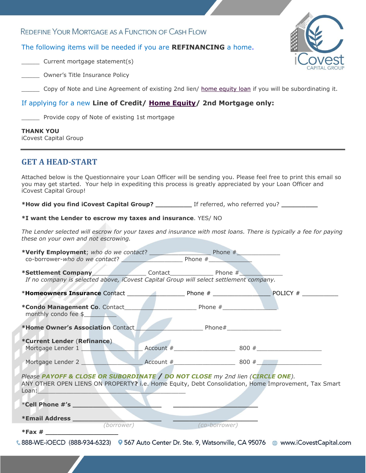## The following items will be needed if you are **REFINANCING** a home.

\_\_\_\_\_ Current mortgage statement(s)

**Letter** Owner's Title Insurance Policy

Copy of Note and Line Agreement of existing 2nd lien/ [home equity loan](http://www.choicefinance.net/home-equity-loan.htm) if you will be subordinating it.

## If applying for a new **Line of Credit/ [Home Equity/](http://www.choicefinance.net/home-equity-loan.htm) 2nd Mortgage only:**

\_\_\_\_\_ Provide copy of Note of existing 1st mortgage

#### **THANK YOU**

iCovest Capital Group

# **GET A HEAD-START**

Attached below is the Questionnaire your Loan Officer will be sending you. Please feel free to print this email so you may get started. Your help in expediting this process is greatly appreciated by your Loan Officer and iCovest Capital Group!

**\*How did you find iCovest Capital Group? \_\_\_\_\_\_\_\_\_** If referred, who referred you? **\_\_\_\_\_\_\_\_\_**

#### **\*I want the Lender to escrow my taxes and insurance**. YES/ NO

*The Lender selected will escrow for your taxes and insurance with most loans. There is typically a fee for paying these on your own and not escrowing.*

|                                                                                                                                                                                                                                                                                                                                                                                                                        | *Verify Employment; who do we contact? $\frac{1}{\text{p} + \text{p}}$ Phone $\frac{\text{p}}{\text{p}}$ Phone $\frac{\text{p}}{\text{p}}$ |               |  |
|------------------------------------------------------------------------------------------------------------------------------------------------------------------------------------------------------------------------------------------------------------------------------------------------------------------------------------------------------------------------------------------------------------------------|--------------------------------------------------------------------------------------------------------------------------------------------|---------------|--|
| *Settlement Company Contact Contact Phone #<br>If no company is selected above, iCovest Capital Group will select settlement company.                                                                                                                                                                                                                                                                                  |                                                                                                                                            |               |  |
|                                                                                                                                                                                                                                                                                                                                                                                                                        |                                                                                                                                            |               |  |
| monthly condo fee \$                                                                                                                                                                                                                                                                                                                                                                                                   |                                                                                                                                            |               |  |
| *Home Owner's Association Contact                                                                                                                                                                                                                                                                                                                                                                                      |                                                                                                                                            |               |  |
| *Current Lender (Refinance)                                                                                                                                                                                                                                                                                                                                                                                            |                                                                                                                                            |               |  |
| Mortgage Lender 2                                                                                                                                                                                                                                                                                                                                                                                                      |                                                                                                                                            |               |  |
| Please PAYOFF & CLOSE OR SUBORDINATE / DO NOT CLOSE my 2nd lien (CIRCLE ONE).<br>ANY OTHER OPEN LIENS ON PROPERTY? i.e. Home Equity, Debt Consolidation, Home Improvement, Tax Smart<br>Loan: New York Processing Contract of the Contract of the Contract of the Contract of the Contract of the Contract of the Contract of the Contract of the Contract of the Contract of the Contract of the Contract of the Cont |                                                                                                                                            |               |  |
|                                                                                                                                                                                                                                                                                                                                                                                                                        |                                                                                                                                            |               |  |
| *Email Address __________                                                                                                                                                                                                                                                                                                                                                                                              |                                                                                                                                            |               |  |
| (borrower)                                                                                                                                                                                                                                                                                                                                                                                                             |                                                                                                                                            | (co-borrower) |  |
| € 888-WE-iOECD (888-934-6323) © 567 Auto Center Dr. Ste. 9, Watsonville, CA 95076 @ www.iCovestCapital.com                                                                                                                                                                                                                                                                                                             |                                                                                                                                            |               |  |